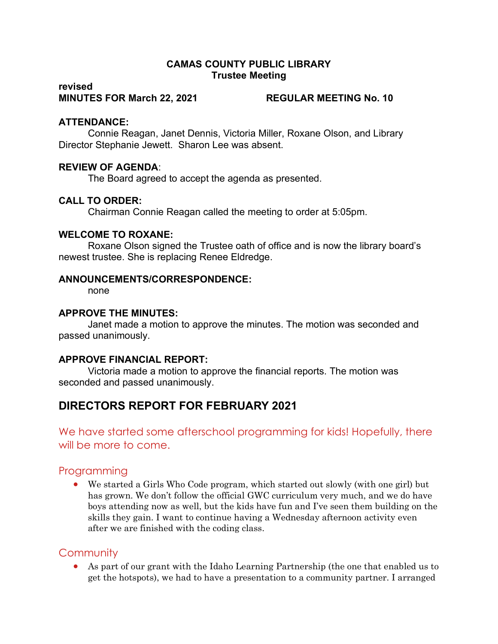### CAMAS COUNTY PUBLIC LIBRARY Trustee Meeting

#### revised MINUTES FOR March 22, 2021 REGULAR MEETING No. 10

#### ATTENDANCE:

Connie Reagan, Janet Dennis, Victoria Miller, Roxane Olson, and Library Director Stephanie Jewett. Sharon Lee was absent.

#### REVIEW OF AGENDA:

The Board agreed to accept the agenda as presented.

#### CALL TO ORDER:

Chairman Connie Reagan called the meeting to order at 5:05pm.

#### WELCOME TO ROXANE:

Roxane Olson signed the Trustee oath of office and is now the library board's newest trustee. She is replacing Renee Eldredge.

#### ANNOUNCEMENTS/CORRESPONDENCE:

none

#### APPROVE THE MINUTES:

Janet made a motion to approve the minutes. The motion was seconded and passed unanimously.

### APPROVE FINANCIAL REPORT:

Victoria made a motion to approve the financial reports. The motion was seconded and passed unanimously.

# DIRECTORS REPORT FOR FEBRUARY 2021

We have started some afterschool programming for kids! Hopefully, there will be more to come.

## Programming

 We started a Girls Who Code program, which started out slowly (with one girl) but has grown. We don't follow the official GWC curriculum very much, and we do have boys attending now as well, but the kids have fun and I've seen them building on the skills they gain. I want to continue having a Wednesday afternoon activity even after we are finished with the coding class.

## **Community**

 As part of our grant with the Idaho Learning Partnership (the one that enabled us to get the hotspots), we had to have a presentation to a community partner. I arranged